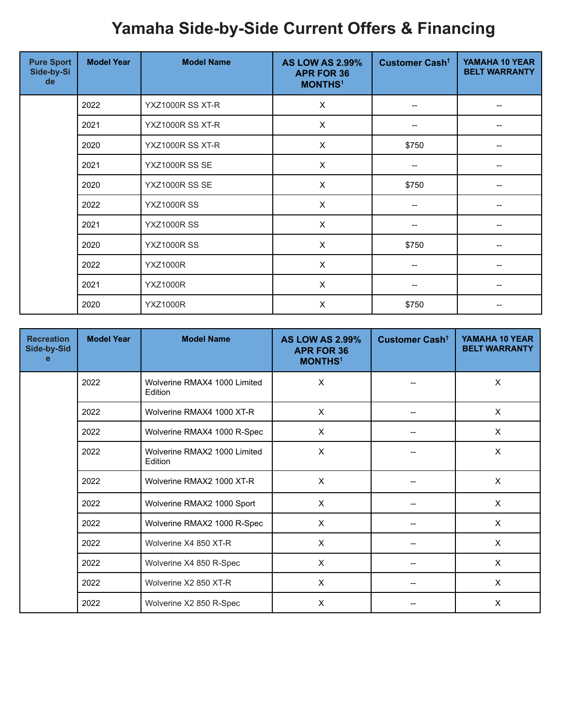## **Yamaha Side-by-Side Current Offers & Financing**

| <b>Pure Sport</b><br>Side-by-Si<br>de | <b>Model Year</b> | <b>Model Name</b>  | <b>AS LOW AS 2.99%</b><br><b>APR FOR 36</b><br><b>MONTHS<sup>1</sup></b> | Customer Cash <sup>+</sup> | YAMAHA 10 YEAR<br><b>BELT WARRANTY</b> |
|---------------------------------------|-------------------|--------------------|--------------------------------------------------------------------------|----------------------------|----------------------------------------|
|                                       | 2022              | YXZ1000R SS XT-R   | $\times$                                                                 | $\hspace{0.05cm}$          |                                        |
|                                       | 2021              | YXZ1000R SS XT-R   | $\times$                                                                 |                            |                                        |
|                                       | 2020              | YXZ1000R SS XT-R   | $\times$                                                                 | \$750                      |                                        |
|                                       | 2021              | YXZ1000R SS SE     | $\times$                                                                 | $\overline{\phantom{a}}$   |                                        |
|                                       | 2020              | YXZ1000R SS SE     | X                                                                        | \$750                      |                                        |
|                                       | 2022              | <b>YXZ1000R SS</b> | $\pmb{\times}$                                                           | --                         |                                        |
|                                       | 2021              | <b>YXZ1000R SS</b> | $\pmb{\times}$                                                           | --                         |                                        |
|                                       | 2020              | <b>YXZ1000R SS</b> | $\times$                                                                 | \$750                      |                                        |
|                                       | 2022              | <b>YXZ1000R</b>    | $\times$                                                                 |                            |                                        |
|                                       | 2021              | <b>YXZ1000R</b>    | $\times$                                                                 |                            |                                        |
|                                       | 2020              | <b>YXZ1000R</b>    | $\times$                                                                 | \$750                      |                                        |

| <b>Recreation</b><br>Side-by-Sid<br>е | <b>Model Year</b> | <b>Model Name</b>                       | <b>AS LOW AS 2.99%</b><br><b>APR FOR 36</b><br><b>MONTHS<sup>1</sup></b> | Customer Cash <sup>+</sup> | YAMAHA 10 YEAR<br><b>BELT WARRANTY</b> |
|---------------------------------------|-------------------|-----------------------------------------|--------------------------------------------------------------------------|----------------------------|----------------------------------------|
|                                       | 2022              | Wolverine RMAX4 1000 Limited<br>Edition | X                                                                        |                            | X                                      |
|                                       | 2022              | Wolverine RMAX4 1000 XT-R               | X                                                                        |                            | X                                      |
|                                       | 2022              | Wolverine RMAX4 1000 R-Spec             | X                                                                        |                            | X                                      |
|                                       | 2022              | Wolverine RMAX2 1000 Limited<br>Edition | X                                                                        |                            | X                                      |
|                                       | 2022              | Wolverine RMAX2 1000 XT-R               | $\mathsf{X}$                                                             |                            | $\boldsymbol{\mathsf{X}}$              |
|                                       | 2022              | Wolverine RMAX2 1000 Sport              | X                                                                        |                            | X                                      |
|                                       | 2022              | Wolverine RMAX2 1000 R-Spec             | X                                                                        |                            | X                                      |
|                                       | 2022              | Wolverine X4 850 XT-R                   | X                                                                        |                            | X                                      |
|                                       | 2022              | Wolverine X4 850 R-Spec                 | X                                                                        |                            | X                                      |
|                                       | 2022              | Wolverine X2 850 XT-R                   | X                                                                        |                            | X                                      |
|                                       | 2022              | Wolverine X2 850 R-Spec                 | X                                                                        |                            | X                                      |